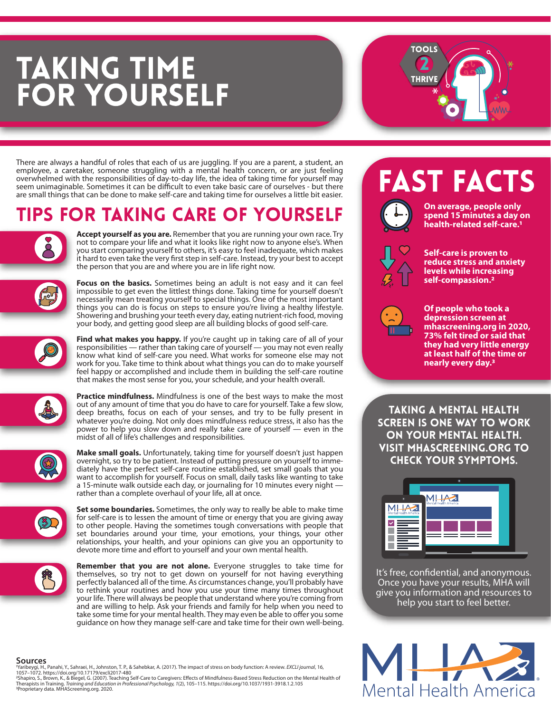# **TAKING TIME<br>FOR YOURSELF**

There are always a handful of roles that each of us are juggling. If you are a parent, a student, an employee, a caretaker, someone struggling with a mental health concern, or are just feeling overwhelmed with the responsibilities of day-to-day life, the idea of taking time for yourself may seem unimaginable. Sometimes it can be difficult to even take basic care of ourselves - but there are small things that can be done to make self-care and taking time for ourselves a little bit easier.

### Tips for Taking Care of Yourself

**Accept yourself as you are.** Remember that you are running your own race. Try not to compare your life and what it looks like right now to anyone else's. When you start comparing yourself to others, it's easy to feel inadequate, which makes it hard to even take the very first step in self-care. Instead, try your best to accept the person that you are and where you are in life right now.



**Focus on the basics.** Sometimes being an adult is not easy and it can feel impossible to get even the littlest things done. Taking time for yourself doesn't necessarily mean treating yourself to special things. One of the most important things you can do is focus on steps to ensure you're living a healthy lifestyle. Showering and brushing your teeth every day, eating nutrient-rich food, moving your body, and getting good sleep are all building blocks of good self-care.



Find what makes you happy. If you're caught up in taking care of all of your responsibilities — rather than taking care of yourself — you may not even really know what kind of self-care you need. What works for someone else may not work for you. Take time to think about what things you can do to make yourself feel happy or accomplished and include them in building the self-care routine that makes the most sense for you, your schedule, and your health overall.



**Practice mindfulness.** Mindfulness is one of the best ways to make the most out of any amount of time that you do have to care for yourself. Take a few slow, deep breaths, focus on each of your senses, and try to be fully present in whatever you're doing. Not only does mindfulness reduce stress, it also has the power to help you slow down and really take care of yourself — even in the midst of all of life's challenges and responsibilities.



**Make small goals.** Unfortunately, taking time for yourself doesn't just happen overnight, so try to be patient. Instead of putting pressure on yourself to immediately have the perfect self-care routine established, set small goals that you want to accomplish for yourself. Focus on small, daily tasks like wanting to take a 15-minute walk outside each day, or journaling for 10 minutes every night rather than a complete overhaul of your life, all at once.



**Set some boundaries.** Sometimes, the only way to really be able to make time for self-care is to lessen the amount of time or energy that you are giving away to other people. Having the sometimes tough conversations with people that set boundaries around your time, your emotions, your things, your other relationships, your health, and your opinions can give you an opportunity to devote more time and effort to yourself and your own mental health.



**Remember that you are not alone.** Everyone struggles to take time for themselves, so try not to get down on yourself for not having everything perfectly balanced all of the time. As circumstances change, you'll probably have to rethink your routines and how you use your time many times throughout your life. There will always be people that understand where you're coming from and are willing to help. Ask your friends and family for help when you need to take some time for your mental health. They may even be able to offer you some guidance on how they manage self-care and take time for their own well-being.

#### **Sources**

'Yaribeygi, H., Panahi, Y., Sahraei, H., Johnston, T. P., & Sahebkar, A. (2017). The impact of stress on body function: A review. *EXCLI journal*, 16,<br>1057–1072. https://doi.org/10.17179/excli2017-480<br><sup>25</sup>hapiro, S., Brown



**TOOLS** 

**THRIVE** 



**On average, people only spend 15 minutes a day on health-related self-care.1**



**Self-care is proven to reduce stress and anxiety levels while increasing self-compassion.2**



**Of people who took a depression screen at mhascreening.org in 2020, 73% felt tired or said that they had very little energy at least half of the time or nearly every day.3**

Taking a mental health screen is one way to work on your mental health. Visit mhascreening.org to check your symptoms.



It's free, confidential, and anonymous. Once you have your results, MHA will give you information and resources to help you start to feel better.